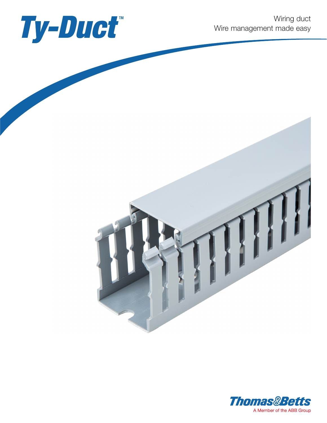



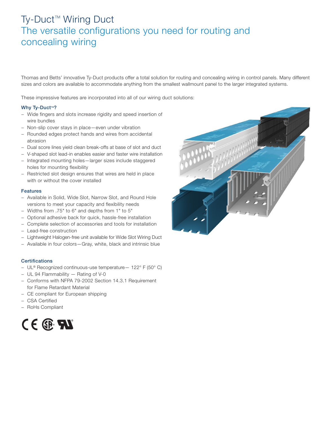# Ty-Duct<sup>™</sup> Wiring Duct The versatile configurations you need for routing and concealing wiring

Thomas and Betts' innovative Ty-Duct products offer a total solution for routing and concealing wiring in control panels. Many different sizes and colors are available to accommodate anything from the smallest wallmount panel to the larger integrated systems.

These impressive features are incorporated into all of our wiring duct solutions:

# Why Ty-Duct<sup>™?</sup>

- − Wide fingers and slots increase rigidity and speed insertion of wire bundles
- − Non-slip cover stays in place—even under vibration
- − Rounded edges protect hands and wires from accidental abrasion
- − Dual score lines yield clean break-offs at base of slot and duct
- − V-shaped slot lead-in enables easier and faster wire installation
- − Integrated mounting holes—larger sizes include staggered holes for mounting flexibility
- − Restricted slot design ensures that wires are held in place with or without the cover installed

## Features

- − Available in Solid, Wide Slot, Narrow Slot, and Round Hole versions to meet your capacity and flexibility needs
- − Widths from .75" to 6" and depths from 1" to 5"
- − Optional adhesive back for quick, hassle-free installation
- − Complete selection of accessories and tools for installation
- − Lead-free construction
- − Lightweight Halogen-free unit available for Wide Slot Wiring Duct
- − Available in four colors—Gray, white, black and intrinsic blue

## **Certifications**

- − UL® Recognized continuous-use temperature— 122° F (50° C)
- − UL 94 Flammability Rating of V-0
- − Conforms with NFPA 79-2002 Section 14.3.1 Requirement for Flame Retardant Material
- − CE compliant for European shipping
- − CSA Certified
- − RoHs Compliant



![](_page_1_Picture_27.jpeg)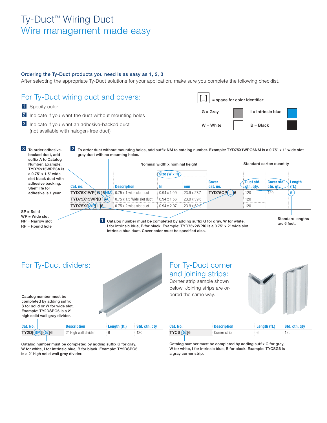# Ty-Duct<sup>™</sup> Wiring Duct Wire management made easy

## Ordering the Ty-Duct products you need is as easy as 1, 2, 3

After selecting the appropriate Ty-Duct solutions for your application, make sure you complete the following checklist.

![](_page_2_Figure_3.jpeg)

# For Ty-Duct dividers: For Ty-Duct corner

Catalog number must be completed by adding suffix S for solid or W for wide slot. Example: TY2DSPG6 is a 2" high solid wall gray divider.

![](_page_2_Picture_6.jpeg)

# and joining strips:

Corner strip sample shown below. Joining strips are ordered the same way.

![](_page_2_Picture_9.jpeg)

| Cat. No.         | <b>Description</b>   | Length (ft.) | Std. ctn. gty |
|------------------|----------------------|--------------|---------------|
| TY2D[(SP)][(G)]6 | 2" High wall divider |              | 120           |
|                  |                      |              |               |

Catalog number must be completed by adding suffix G for gray, W for white, I for intrinsic blue, B for black. Example: TY2DSPG6 is a 2" high solid wall gray divider.

| Cat. No.          | <b>Description</b> | Length (ft.) | Std. ctn. gty |
|-------------------|--------------------|--------------|---------------|
| TYCS[ <b>G</b> ]6 | Corner strip       |              | 120           |
|                   |                    |              |               |

Catalog number must be completed by adding suffix G for gray, W for white, I for intrinsic blue, B for black. Example: TYCSG6 is a gray corner strip.